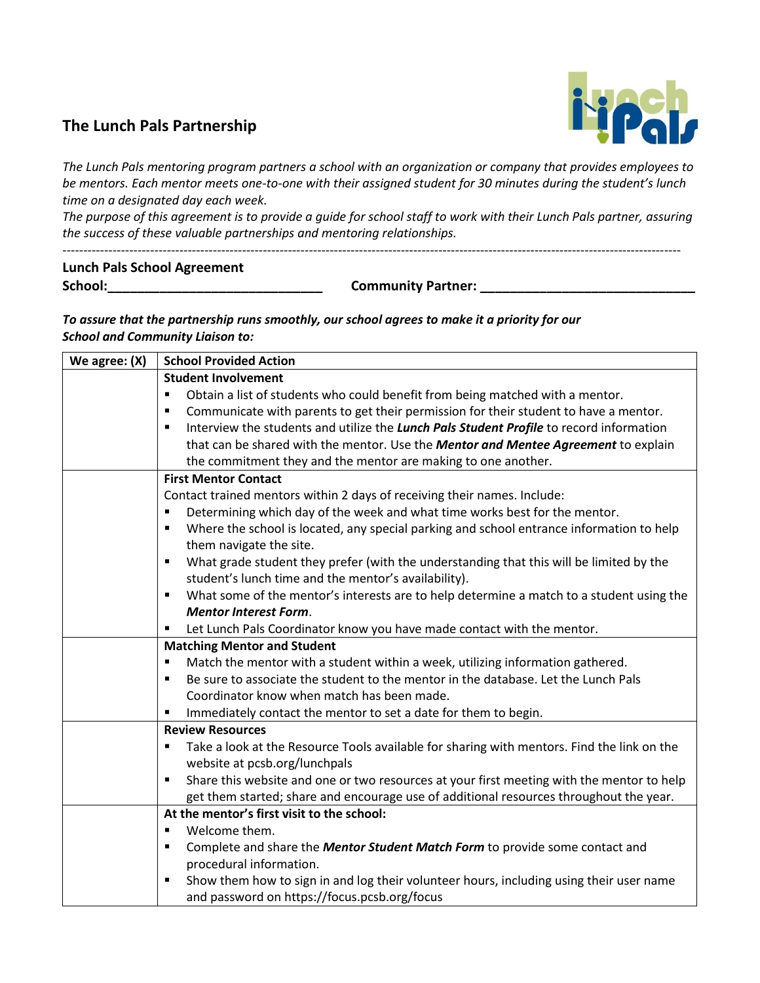## **The Lunch Pals Partnership**



*The Lunch Pals mentoring program partners a school with an organization or company that provides employees to be mentors. Each mentor meets one-to-one with their assigned student for 30 minutes during the student's lunch time on a designated day each week.*

*The purpose of this agreement is to provide a guide for school staff to work with their Lunch Pals partner, assuring the success of these valuable partnerships and mentoring relationships.* 

----------------------------------------------------------------------------------------------------------------------------------------------------

## **Lunch Pals School Agreement School:\_\_\_\_\_\_\_\_\_\_\_\_\_\_\_\_\_\_\_\_\_\_\_\_\_\_\_\_\_ Community Partner: \_\_\_\_\_\_\_\_\_\_\_\_\_\_\_\_\_\_\_\_\_\_\_\_\_\_\_\_\_**

*To assure that the partnership runs smoothly, our school agrees to make it a priority for our School and Community Liaison to:*

| We agree: $(X)$ | <b>School Provided Action</b>                                                                                |  |  |
|-----------------|--------------------------------------------------------------------------------------------------------------|--|--|
|                 | <b>Student Involvement</b>                                                                                   |  |  |
|                 | Obtain a list of students who could benefit from being matched with a mentor.<br>٠                           |  |  |
|                 | Communicate with parents to get their permission for their student to have a mentor.<br>٠                    |  |  |
|                 | Interview the students and utilize the Lunch Pals Student Profile to record information<br>٠                 |  |  |
|                 | that can be shared with the mentor. Use the Mentor and Mentee Agreement to explain                           |  |  |
|                 | the commitment they and the mentor are making to one another.                                                |  |  |
|                 | <b>First Mentor Contact</b>                                                                                  |  |  |
|                 | Contact trained mentors within 2 days of receiving their names. Include:                                     |  |  |
|                 | Determining which day of the week and what time works best for the mentor.<br>٠                              |  |  |
|                 | Where the school is located, any special parking and school entrance information to help<br>٠                |  |  |
|                 | them navigate the site.                                                                                      |  |  |
|                 | What grade student they prefer (with the understanding that this will be limited by the<br>٠                 |  |  |
|                 | student's lunch time and the mentor's availability).                                                         |  |  |
|                 | What some of the mentor's interests are to help determine a match to a student using the<br>٠                |  |  |
|                 | <b>Mentor Interest Form.</b>                                                                                 |  |  |
|                 | Let Lunch Pals Coordinator know you have made contact with the mentor.<br>٠                                  |  |  |
|                 | <b>Matching Mentor and Student</b>                                                                           |  |  |
|                 | Match the mentor with a student within a week, utilizing information gathered.<br>٠                          |  |  |
|                 | Be sure to associate the student to the mentor in the database. Let the Lunch Pals<br>٠                      |  |  |
|                 | Coordinator know when match has been made.                                                                   |  |  |
|                 | Immediately contact the mentor to set a date for them to begin.<br>٠                                         |  |  |
|                 | <b>Review Resources</b>                                                                                      |  |  |
|                 | Take a look at the Resource Tools available for sharing with mentors. Find the link on the<br>$\blacksquare$ |  |  |
|                 | website at pcsb.org/lunchpals                                                                                |  |  |
|                 | Share this website and one or two resources at your first meeting with the mentor to help<br>٠               |  |  |
|                 | get them started; share and encourage use of additional resources throughout the year.                       |  |  |
|                 | At the mentor's first visit to the school:                                                                   |  |  |
|                 | Welcome them.<br>٠                                                                                           |  |  |
|                 | Complete and share the Mentor Student Match Form to provide some contact and<br>٠                            |  |  |
|                 | procedural information.                                                                                      |  |  |
|                 | Show them how to sign in and log their volunteer hours, including using their user name<br>٠                 |  |  |
|                 | and password on https://focus.pcsb.org/focus                                                                 |  |  |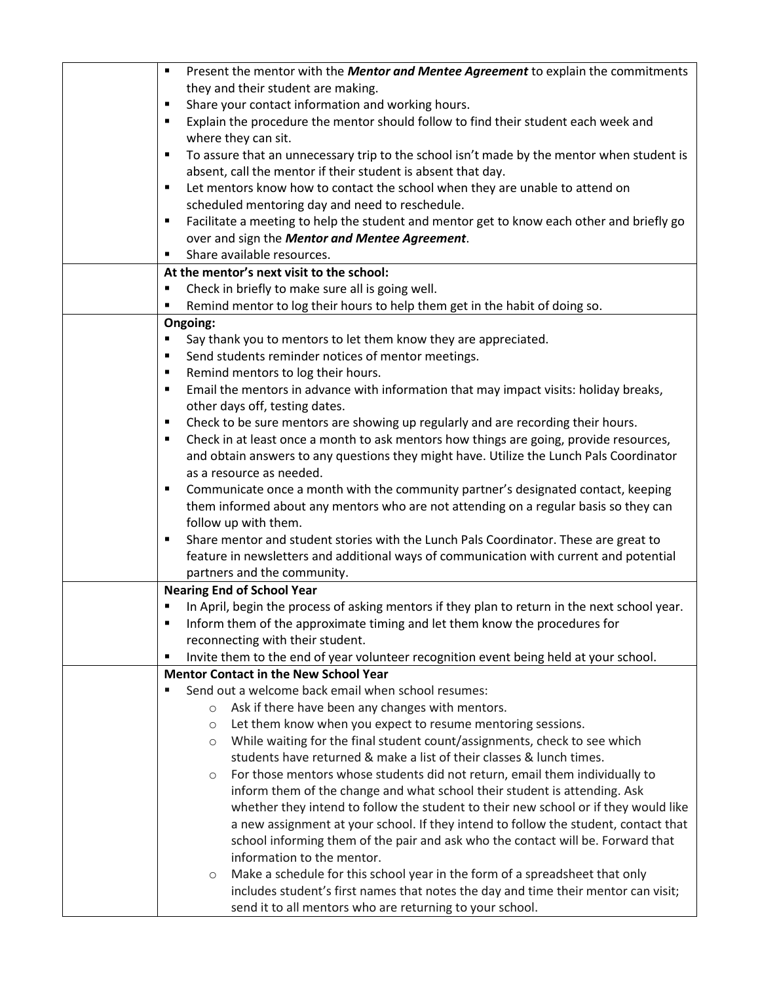| Present the mentor with the Mentor and Mentee Agreement to explain the commitments<br>٠        |  |  |
|------------------------------------------------------------------------------------------------|--|--|
| they and their student are making.                                                             |  |  |
| Share your contact information and working hours.<br>٠                                         |  |  |
| Explain the procedure the mentor should follow to find their student each week and<br>٠        |  |  |
| where they can sit.                                                                            |  |  |
| To assure that an unnecessary trip to the school isn't made by the mentor when student is<br>٠ |  |  |
| absent, call the mentor if their student is absent that day.                                   |  |  |
| Let mentors know how to contact the school when they are unable to attend on<br>٠              |  |  |
| scheduled mentoring day and need to reschedule.                                                |  |  |
| Facilitate a meeting to help the student and mentor get to know each other and briefly go<br>٠ |  |  |
| over and sign the Mentor and Mentee Agreement.                                                 |  |  |
| Share available resources.<br>٠                                                                |  |  |
| At the mentor's next visit to the school:                                                      |  |  |
| Check in briefly to make sure all is going well.<br>٠                                          |  |  |
| Remind mentor to log their hours to help them get in the habit of doing so.<br>٠               |  |  |
| Ongoing:                                                                                       |  |  |
| Say thank you to mentors to let them know they are appreciated.<br>٠                           |  |  |
| Send students reminder notices of mentor meetings.<br>٠                                        |  |  |
| Remind mentors to log their hours.<br>٠                                                        |  |  |
| Email the mentors in advance with information that may impact visits: holiday breaks,<br>٠     |  |  |
| other days off, testing dates.                                                                 |  |  |
| Check to be sure mentors are showing up regularly and are recording their hours.<br>٠          |  |  |
| Check in at least once a month to ask mentors how things are going, provide resources,<br>٠    |  |  |
| and obtain answers to any questions they might have. Utilize the Lunch Pals Coordinator        |  |  |
| as a resource as needed.                                                                       |  |  |
| Communicate once a month with the community partner's designated contact, keeping<br>٠         |  |  |
| them informed about any mentors who are not attending on a regular basis so they can           |  |  |
| follow up with them.                                                                           |  |  |
| Share mentor and student stories with the Lunch Pals Coordinator. These are great to<br>٠      |  |  |
| feature in newsletters and additional ways of communication with current and potential         |  |  |
| partners and the community.                                                                    |  |  |
| <b>Nearing End of School Year</b>                                                              |  |  |
| In April, begin the process of asking mentors if they plan to return in the next school year.  |  |  |
| Inform them of the approximate timing and let them know the procedures for<br>٠                |  |  |
| reconnecting with their student.                                                               |  |  |
| Invite them to the end of year volunteer recognition event being held at your school.<br>٠     |  |  |
| <b>Mentor Contact in the New School Year</b>                                                   |  |  |
| Send out a welcome back email when school resumes:                                             |  |  |
| Ask if there have been any changes with mentors.<br>$\circ$                                    |  |  |
| Let them know when you expect to resume mentoring sessions.<br>$\circ$                         |  |  |
| While waiting for the final student count/assignments, check to see which<br>$\circ$           |  |  |
| students have returned & make a list of their classes & lunch times.                           |  |  |
| For those mentors whose students did not return, email them individually to<br>$\circ$         |  |  |
| inform them of the change and what school their student is attending. Ask                      |  |  |
| whether they intend to follow the student to their new school or if they would like            |  |  |
| a new assignment at your school. If they intend to follow the student, contact that            |  |  |
| school informing them of the pair and ask who the contact will be. Forward that                |  |  |
| information to the mentor.                                                                     |  |  |
| Make a schedule for this school year in the form of a spreadsheet that only<br>$\circ$         |  |  |
| includes student's first names that notes the day and time their mentor can visit;             |  |  |
| send it to all mentors who are returning to your school.                                       |  |  |